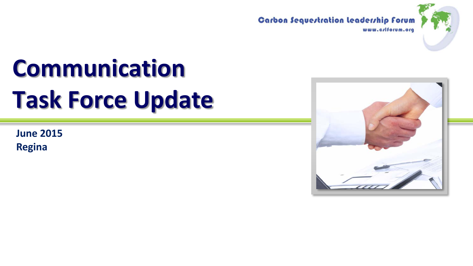



# **Communication Task Force Update**

**June 2015 Regina**

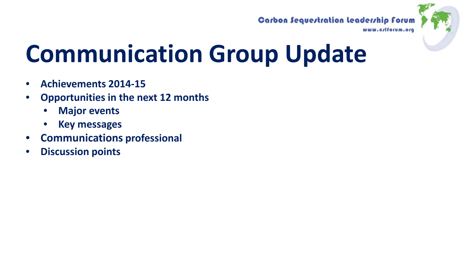### **Carbon Sequestration Leadership Forum**



# **Communication Group Update**

- **Achievements 2014-15**
- **Opportunities in the next 12 months**
	- **Major events**
	- **Key messages**
- **Communications professional**
- **Discussion points**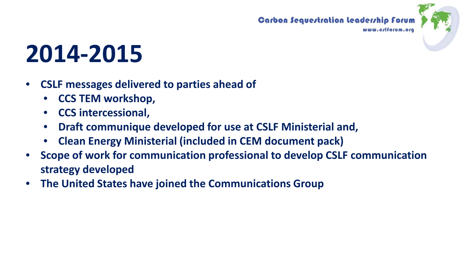



# **2014-2015**

- **CSLF messages delivered to parties ahead of**
	- **CCS TEM workshop,**
	- **CCS intercessional,**
	- **Draft communique developed for use at CSLF Ministerial and,**
	- **Clean Energy Ministerial (included in CEM document pack)**
- **Scope of work for communication professional to develop CSLF communication strategy developed**
- **The United States have joined the Communications Group**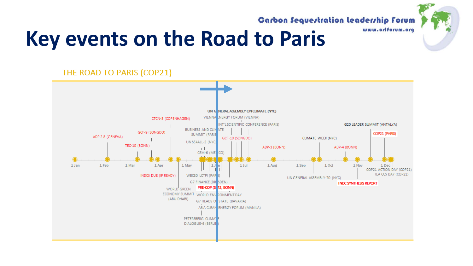

**Carbon Sequestration Leadership Forum** 

## **Key events on the Road to Paris**

THE ROAD TO PARIS (COP21)

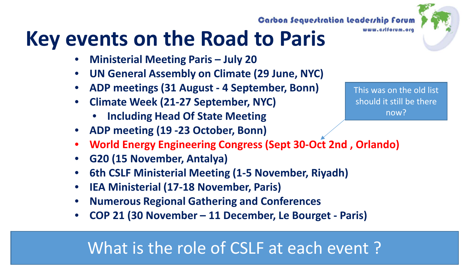## **Key events on the Road to Paris**

- **Ministerial Meeting Paris – July 20**
- **UN General Assembly on Climate (29 June, NYC)**
- **ADP meetings (31 August - 4 September, Bonn)**
- **Climate Week (21-27 September, NYC)**
	- **Including Head Of State Meeting**
- **ADP meeting (19 -23 October, Bonn)**
- **World Energy Engineering Congress (Sept 30-Oct 2nd , Orlando)**
- **G20 (15 November, Antalya)**
- **6th CSLF Ministerial Meeting (1-5 November, Riyadh)**
- **IEA Ministerial (17-18 November, Paris)**
- **Numerous Regional Gathering and Conferences**
- **COP 21 (30 November – 11 December, Le Bourget - Paris)**

### What is the role of CSLF at each event ?

This was on the old list should it still be there now?



### **Carbon Sequestration Leadership Forum**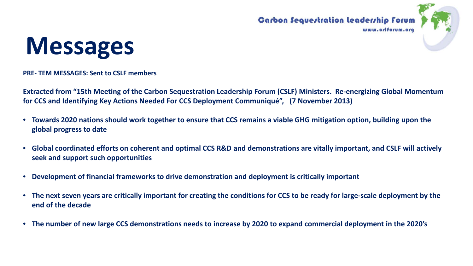





**PRE- TEM MESSAGES: Sent to CSLF members**

**Extracted from "15th Meeting of the Carbon Sequestration Leadership Forum (CSLF) Ministers. Re-energizing Global Momentum for CCS and Identifying Key Actions Needed For CCS Deployment Communiqué", (7 November 2013)**

- **Towards 2020 nations should work together to ensure that CCS remains a viable GHG mitigation option, building upon the global progress to date**
- **Global coordinated efforts on coherent and optimal CCS R&D and demonstrations are vitally important, and CSLF will actively seek and support such opportunities**
- **Development of financial frameworks to drive demonstration and deployment is critically important**
- **The next seven years are critically important for creating the conditions for CCS to be ready for large-scale deployment by the end of the decade**
- **The number of new large CCS demonstrations needs to increase by 2020 to expand commercial deployment in the 2020's**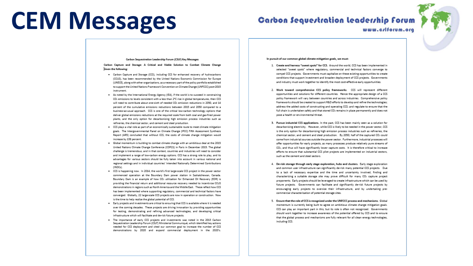## **CEM Messages**

### **Carbon Sequestration leadership forum**

www.crlforum.org



#### Carbon Sequestration Leadership Forum (CSLE) Key Messages

Carbon Capture and Storage: A Critical and Viable Solution to Combat Climate Change Given the following:

- . Carbon Capture and Storage (CCS), including CCS for enhanced recovery of hydrocarbons (CCUS), has been recommended by the United Nations Economic Commission for Europe (UNECE), along with other organizations, as a necessary part of the policy portfolio established to support the United Nations Framework Convention on Climate Change (UNFCCC) post-2015 instrument
- . As noted by the International Energy Agency (IEA), if the world is to succeed in constraining CO<sub>2</sub> emissions to levels consistent with a less than 2<sup>e</sup>C rise in global temperatures, then CCS will need to contribute about one-sixth of needed CO<sub>2</sub> emission reductions in 2050, and 14 percent of the cumulative emissions reductions between 2015 and 2050 compared to a business-as-usual approach. CCS is one of the critical low-carbon technology options that deliver global emissions reductions at the required scale from both coal and gas-fired power plants, and the only option for decarbonizing high emission process industries such as refineries, the chemical sector, and cement and steel production.
- . CCS plays a vital role as part of an economically sustainable route to meet climate mitigation goals. The Intergovernmental Panel on Climate Change (IPCC) Fifth Assessment Synthesis Report (AR5) concluded that without CCS, the costs of climate change mitigation would increase by 138 percent.
- . Global momentum is building to combat climate change with an ambitious deal at the 2015 United Nations Climate Change Conference (COP21) in Paris in December 2015. The global challenge is tremendous, and in that context, countries and industries will need to consider and implement a range of low-carbon energy options. CCS has a strong role to play, and its advantages for various sectors should be fully taken into account in various national and regional settings and in individual countries' Intended Nationally Determined Contributions **JINDO-L**
- . CCS is happening now. In 2014, the world's first large-scale CCS project in the power sector commenced operation at the Boundary Dam power station in Saskatchewan, Canada. Boundary Dam is an example of how CO2 utilization for Enhanced Oil Recovery (EOR) is providing the financial return and additional resource recovery needed to incentivize CCUS demonstrations in regions such as North America and the Middle East. These reflect how CCS has been implemented where supporting regulatory, commercial and technical factors have converged. Globally, 22 large-scale CCS projects are now in operation or construction. Now is the time to help realize the global potential of CCS.
- . Early projects and investments are critical to ensuring that CCS is available where it is needed over the coming decades. These projects are driving innovation by providing opportunities for testing, demonstrating and refining advanced technologies, and developing critical infrastructure which will facilitate and de-risk future projects.
- . The importance of early CCS projects and investments was noted in the 2013 Carbon Sequestration Leadership Forum (CSLF) Ministerial Communiqué, which identified key actions needed for CCS deployment and cited our common goal to increase the number of CCS demonstrations by 2020 and expand commercial deployment in the 2020's.

#### In pursuit of our common global climate mitigation goals, we must:

- 1. Create and harness "sweet spots" for CCS. Around the world, CCS has been implemented in selected "sweet spots" where regulatory, commercial and technical factors converge to compel CCS projects. Governments must capitalize on these existing opportunities to create conditions that support investment and broaden deployment of CCS projects. Governments and industry must work together to identify the most cost-effective early opportunities.
- 2. Work toward comprehensive CCS policy frameworks. CCS will represent different opportunities and solutions for different countries. Hence the appropriate design of a CCS policy framework will vary between countries and across industries. Comprehensive policy frameworks should be created to support R&D efforts to develop and refine the technologies; address the added costs of constructing and operating CCS: and regulate to ensure that the full chain is undertaken safely and that stored CO2 remains in place permanently and does not pose a health or environmental threat.
- 3. Pursue industrial CCS applications. In the past, CCS has been mainly seen as a solution for decarbonizing electricity. However, while CCS is likely to be needed in the power sector, CCS is the only option for decarbonizing high emission process industries such as refineries, the chemical sector, and cement and steel production. By 2050, half of the captured CO2 could come from industrial sources outside the power sector. Furthermore, industrial processes will offer opportunities for early projects, as many processes produce relatively pure streams of CO2, and thus will have significantly lower capture costs. It is therefore critical to increase efforts to ensure that substantial CCS pilot projects are implemented on industrial sectors. such as the cement and steel sectors.
- 4. De-risk storage through early stage exploration, hubs and clusters. Early stage exploration and common user infrastructure can significantly de-risk many potential CCS projects. Due to a lack of necessary expertise and the time and uncertainty involved, finding and characterizing a suitable storage site may prove difficult for many CO2 capture project proponents. Early projects should be leveraged to create infrastructure which can be used by future projects. Governments can facilitate and significantly de-risk future projects by encouraging early projects to oversize their infrastructure, and by undertaking precommercial characterization of potential storage sites.
- 5. Ensure that the role of CCS is recognized under the UNFCCC process and mechanisms. Global momentum is currently being built to agree on ambitious climate change mitigation goals. CCS can play an important part in this, but its role is often not recognized. Governments should work together to increase awareness of the potential offered by CCS and to ensure that the global process and mechanisms are fully relevant for all clean energy technologies, including CCS.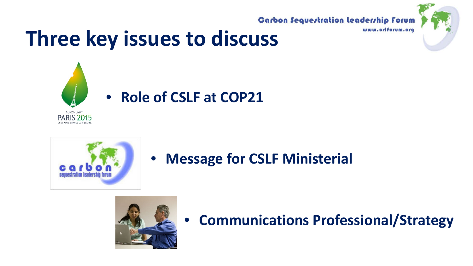**Carbon Sequestration Leadership Forum** 



## **Three key issues to discuss**





**PARIS 2015** 

### • **Message for CSLF Ministerial**



### • **Communications Professional/Strategy**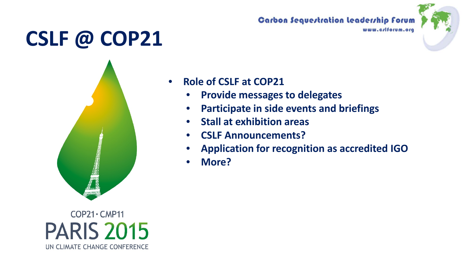## **CSLF @ COP21**



 $COP21 \cdot CMP11$ **PARIS 2015** UN CLIMATE CHANGE CONFERENCE

### **Carbon Sequestration Leadership Forum**



### • **Role of CSLF at COP21**

- **Provide messages to delegates**
- **Participate in side events and briefings**
- **Stall at exhibition areas**
- **CSLF Announcements?**
- **Application for recognition as accredited IGO**
- **More?**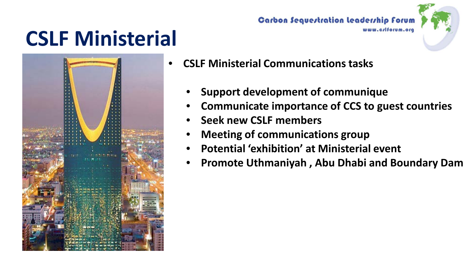## **CSLF Ministerial**



**Carbon Sequestration Leadership Forum** 



- **CSLF Ministerial Communications tasks** 
	- **Support development of communique**
	- **Communicate importance of CCS to guest countries**
	- **Seek new CSLF members**
	- **Meeting of communications group**
	- **Potential 'exhibition' at Ministerial event**
	- **Promote Uthmaniyah , Abu Dhabi and Boundary Dam**